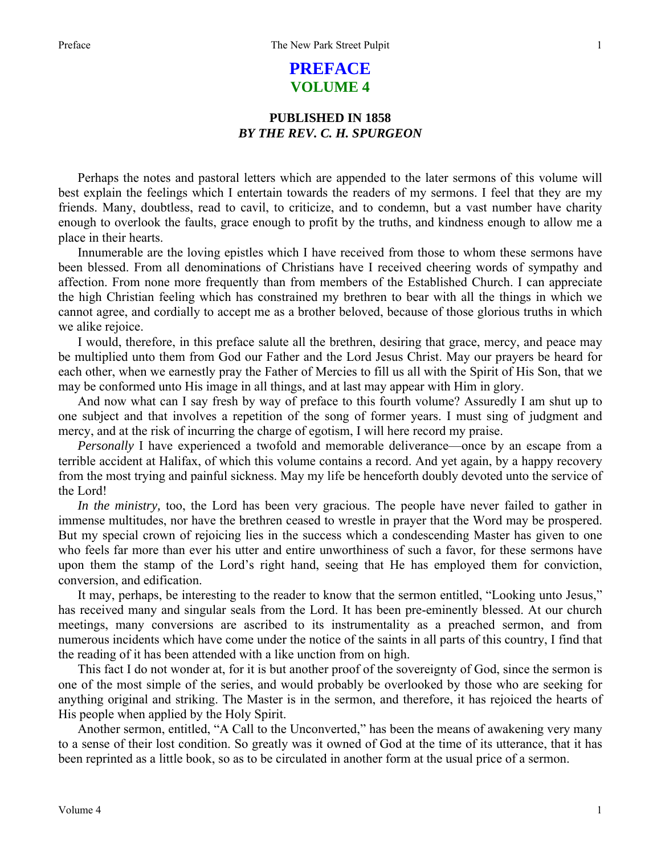## **PREFACE VOLUME 4**

## **PUBLISHED IN 1858**  *BY THE REV. C. H. SPURGEON*

Perhaps the notes and pastoral letters which are appended to the later sermons of this volume will best explain the feelings which I entertain towards the readers of my sermons. I feel that they are my friends. Many, doubtless, read to cavil, to criticize, and to condemn, but a vast number have charity enough to overlook the faults, grace enough to profit by the truths, and kindness enough to allow me a place in their hearts.

Innumerable are the loving epistles which I have received from those to whom these sermons have been blessed. From all denominations of Christians have I received cheering words of sympathy and affection. From none more frequently than from members of the Established Church. I can appreciate the high Christian feeling which has constrained my brethren to bear with all the things in which we cannot agree, and cordially to accept me as a brother beloved, because of those glorious truths in which we alike rejoice.

I would, therefore, in this preface salute all the brethren, desiring that grace, mercy, and peace may be multiplied unto them from God our Father and the Lord Jesus Christ. May our prayers be heard for each other, when we earnestly pray the Father of Mercies to fill us all with the Spirit of His Son, that we may be conformed unto His image in all things, and at last may appear with Him in glory.

And now what can I say fresh by way of preface to this fourth volume? Assuredly I am shut up to one subject and that involves a repetition of the song of former years. I must sing of judgment and mercy, and at the risk of incurring the charge of egotism, I will here record my praise.

*Personally* I have experienced a twofold and memorable deliverance—once by an escape from a terrible accident at Halifax, of which this volume contains a record. And yet again, by a happy recovery from the most trying and painful sickness. May my life be henceforth doubly devoted unto the service of the Lord!

*In the ministry,* too, the Lord has been very gracious. The people have never failed to gather in immense multitudes, nor have the brethren ceased to wrestle in prayer that the Word may be prospered. But my special crown of rejoicing lies in the success which a condescending Master has given to one who feels far more than ever his utter and entire unworthiness of such a favor, for these sermons have upon them the stamp of the Lord's right hand, seeing that He has employed them for conviction, conversion, and edification.

It may, perhaps, be interesting to the reader to know that the sermon entitled, "Looking unto Jesus," has received many and singular seals from the Lord. It has been pre-eminently blessed. At our church meetings, many conversions are ascribed to its instrumentality as a preached sermon, and from numerous incidents which have come under the notice of the saints in all parts of this country, I find that the reading of it has been attended with a like unction from on high.

This fact I do not wonder at, for it is but another proof of the sovereignty of God, since the sermon is one of the most simple of the series, and would probably be overlooked by those who are seeking for anything original and striking. The Master is in the sermon, and therefore, it has rejoiced the hearts of His people when applied by the Holy Spirit.

Another sermon, entitled, "A Call to the Unconverted," has been the means of awakening very many to a sense of their lost condition. So greatly was it owned of God at the time of its utterance, that it has been reprinted as a little book, so as to be circulated in another form at the usual price of a sermon.